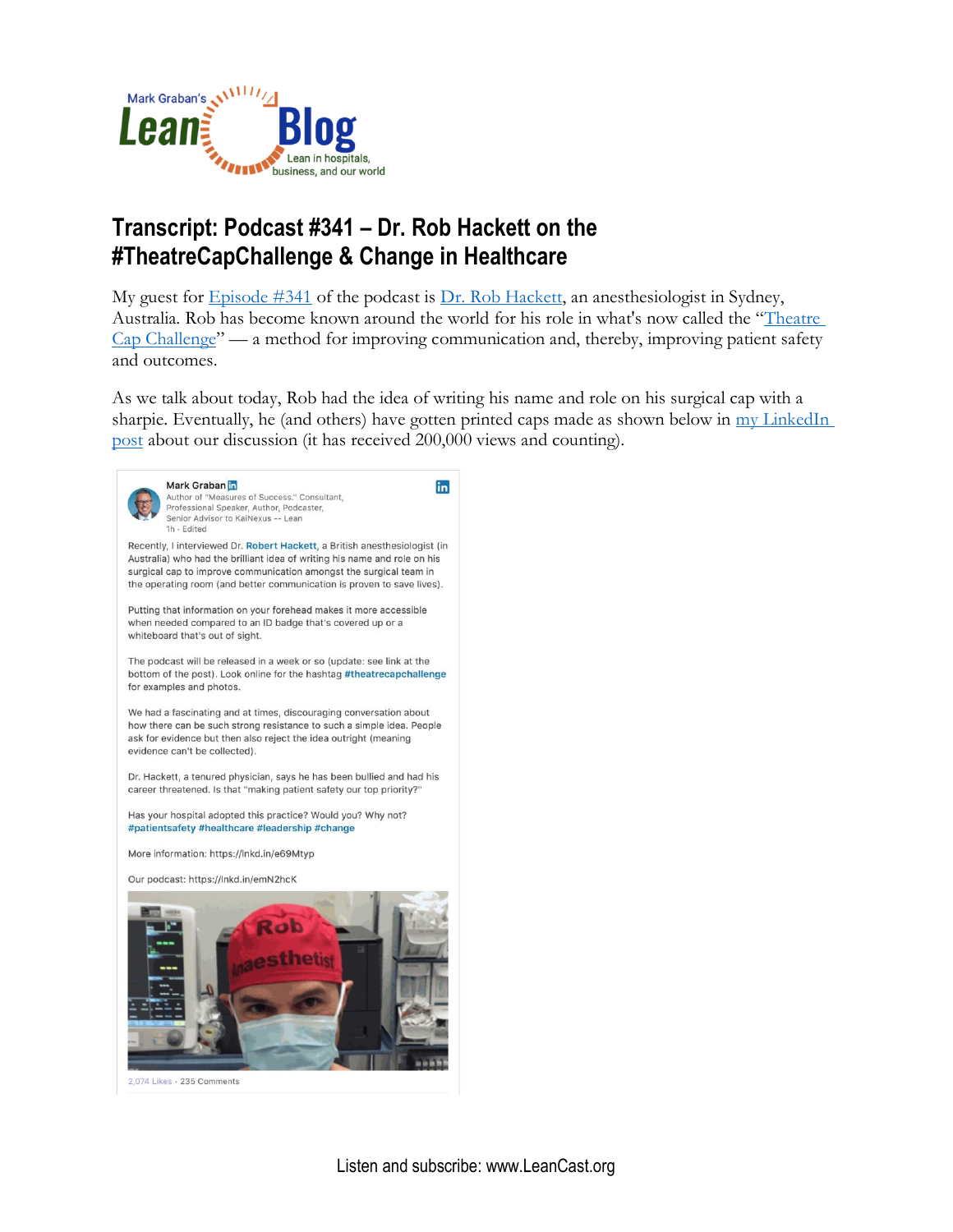

## **Transcript: Podcast #341 – Dr. Rob Hackett on the #TheatreCapChallenge & Change in Healthcare**

My guest for [Episode #341](http://www.leanblog.org/341) of the podcast is [Dr. Rob Hackett,](https://www.linkedin.com/in/robert-hackett-b47823136/) an anesthesiologist in Sydney, Australia. Rob has become known around the world for his role in what's now called the "[Theatre](https://www.google.com/search?q=theatre+cap+challenge&rlz=1C5CHFA_enUS702US702&oq=theatre+cap&aqs=chrome.0.69i59j69i57j35i39l2j0l2.2622j0j7&sourceid=chrome&ie=UTF-8)  [Cap Challenge](https://www.google.com/search?q=theatre+cap+challenge&rlz=1C5CHFA_enUS702US702&oq=theatre+cap&aqs=chrome.0.69i59j69i57j35i39l2j0l2.2622j0j7&sourceid=chrome&ie=UTF-8)" — a method for improving communication and, thereby, improving patient safety and outcomes.

As we talk about today, Rob had the idea of writing his name and role on his surgical cap with a sharpie. Eventually, he (and others) have gotten printed caps made as shown below in my LinkedIn [post](https://www.linkedin.com/feed/update/urn:li:activity:6529472771246878720/) about our discussion (it has received 200,000 views and counting).

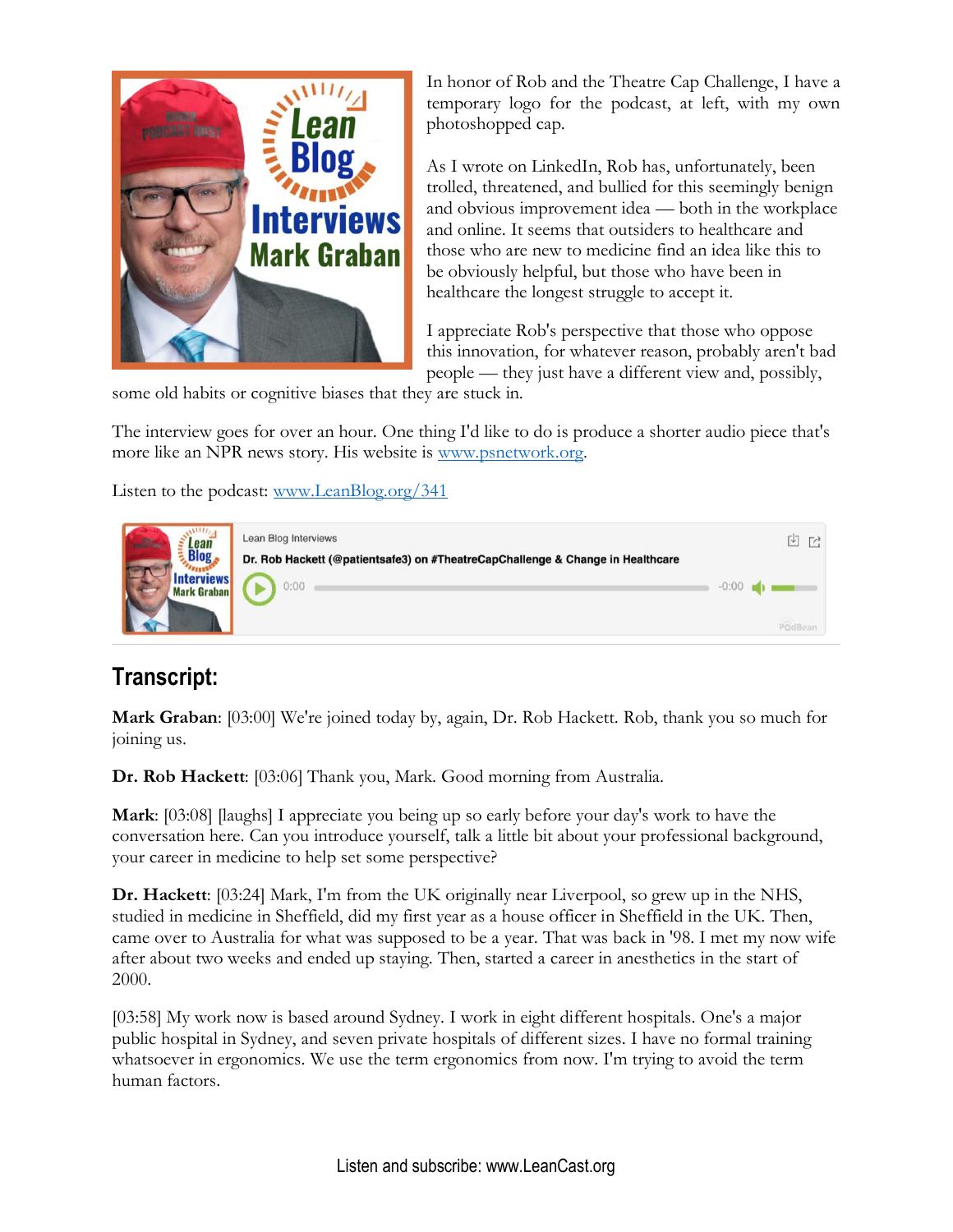

In honor of Rob and the Theatre Cap Challenge, I have a temporary logo for the podcast, at left, with my own photoshopped cap.

As I wrote on LinkedIn, Rob has, unfortunately, been trolled, threatened, and bullied for this seemingly benign and obvious improvement idea — both in the workplace and online. It seems that outsiders to healthcare and those who are new to medicine find an idea like this to be obviously helpful, but those who have been in healthcare the longest struggle to accept it.

I appreciate Rob's perspective that those who oppose this innovation, for whatever reason, probably aren't bad people — they just have a different view and, possibly,

some old habits or cognitive biases that they are stuck in.

The interview goes for over an hour. One thing I'd like to do is produce a shorter audio piece that's more like an NPR news story. His website is [www.psnetwork.org.](http://www.psnetwork.org/)

Listen to the podcast: [www.LeanBlog.org/341](http://www.leanblog.org/341) 

| <b>College</b><br>Lean<br><b>Blog</b><br><b>Interviews</b><br><b>Mark Graban</b> | Lean Blog Interviews<br>Dr. Rob Hackett (@patientsafe3) on #TheatreCapChallenge & Change in Healthcare | V       |  |
|----------------------------------------------------------------------------------|--------------------------------------------------------------------------------------------------------|---------|--|
|                                                                                  | 0:00                                                                                                   | $-0:00$ |  |

## **Transcript:**

**Mark Graban**: [03:00] We're joined today by, again, Dr. Rob Hackett. Rob, thank you so much for joining us.

**Dr. Rob Hackett**: [03:06] Thank you, Mark. Good morning from Australia.

**Mark**: [03:08] [laughs] I appreciate you being up so early before your day's work to have the conversation here. Can you introduce yourself, talk a little bit about your professional background, your career in medicine to help set some perspective?

**Dr. Hackett**: [03:24] Mark, I'm from the UK originally near Liverpool, so grew up in the NHS, studied in medicine in Sheffield, did my first year as a house officer in Sheffield in the UK. Then, came over to Australia for what was supposed to be a year. That was back in '98. I met my now wife after about two weeks and ended up staying. Then, started a career in anesthetics in the start of 2000.

[03:58] My work now is based around Sydney. I work in eight different hospitals. One's a major public hospital in Sydney, and seven private hospitals of different sizes. I have no formal training whatsoever in ergonomics. We use the term ergonomics from now. I'm trying to avoid the term human factors.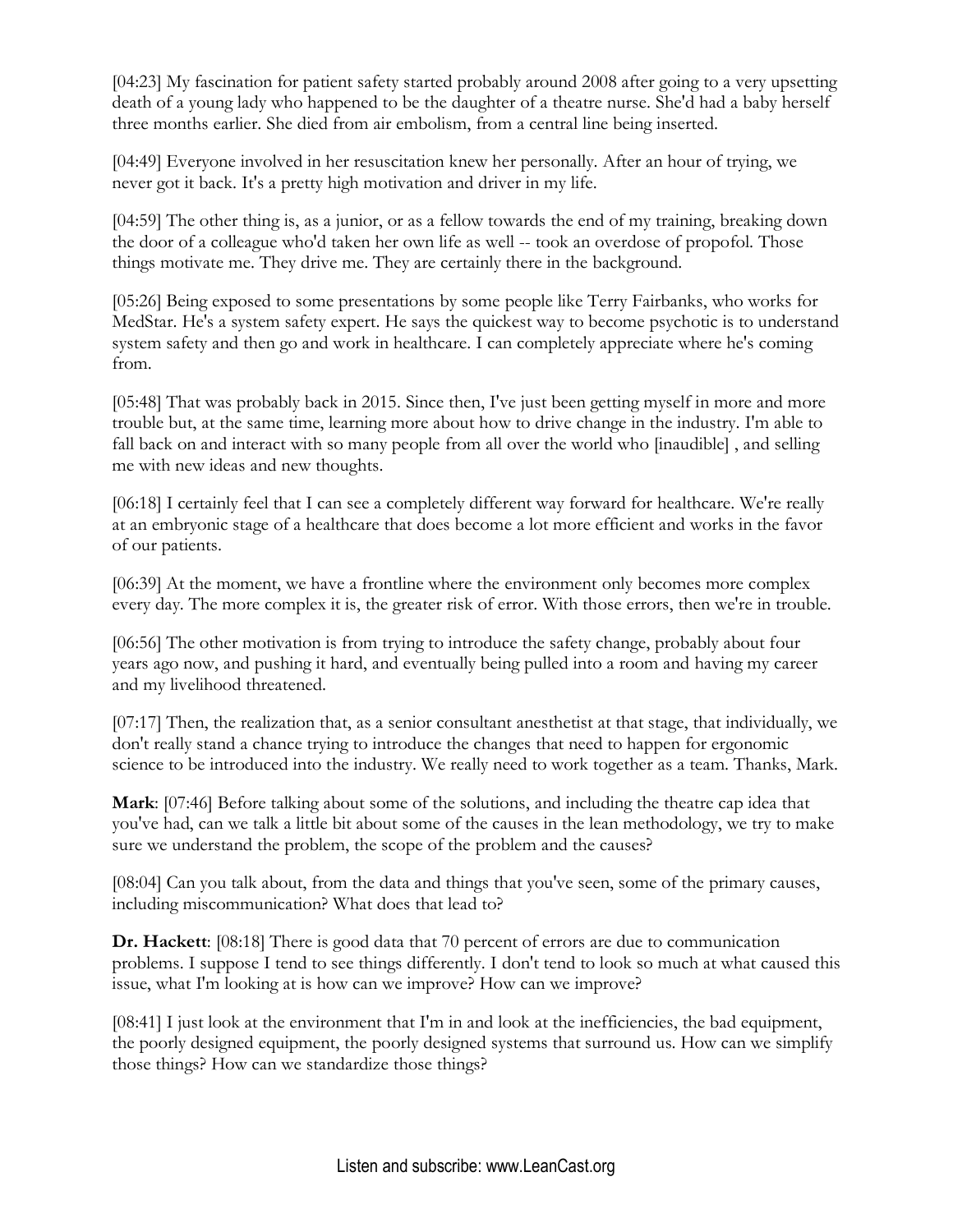[04:23] My fascination for patient safety started probably around 2008 after going to a very upsetting death of a young lady who happened to be the daughter of a theatre nurse. She'd had a baby herself three months earlier. She died from air embolism, from a central line being inserted.

[04:49] Everyone involved in her resuscitation knew her personally. After an hour of trying, we never got it back. It's a pretty high motivation and driver in my life.

[04:59] The other thing is, as a junior, or as a fellow towards the end of my training, breaking down the door of a colleague who'd taken her own life as well -- took an overdose of propofol. Those things motivate me. They drive me. They are certainly there in the background.

[05:26] Being exposed to some presentations by some people like Terry Fairbanks, who works for MedStar. He's a system safety expert. He says the quickest way to become psychotic is to understand system safety and then go and work in healthcare. I can completely appreciate where he's coming from.

[05:48] That was probably back in 2015. Since then, I've just been getting myself in more and more trouble but, at the same time, learning more about how to drive change in the industry. I'm able to fall back on and interact with so many people from all over the world who [inaudible] , and selling me with new ideas and new thoughts.

[06:18] I certainly feel that I can see a completely different way forward for healthcare. We're really at an embryonic stage of a healthcare that does become a lot more efficient and works in the favor of our patients.

[06:39] At the moment, we have a frontline where the environment only becomes more complex every day. The more complex it is, the greater risk of error. With those errors, then we're in trouble.

[06:56] The other motivation is from trying to introduce the safety change, probably about four years ago now, and pushing it hard, and eventually being pulled into a room and having my career and my livelihood threatened.

[07:17] Then, the realization that, as a senior consultant anesthetist at that stage, that individually, we don't really stand a chance trying to introduce the changes that need to happen for ergonomic science to be introduced into the industry. We really need to work together as a team. Thanks, Mark.

**Mark**: [07:46] Before talking about some of the solutions, and including the theatre cap idea that you've had, can we talk a little bit about some of the causes in the lean methodology, we try to make sure we understand the problem, the scope of the problem and the causes?

[08:04] Can you talk about, from the data and things that you've seen, some of the primary causes, including miscommunication? What does that lead to?

**Dr. Hackett**: [08:18] There is good data that 70 percent of errors are due to communication problems. I suppose I tend to see things differently. I don't tend to look so much at what caused this issue, what I'm looking at is how can we improve? How can we improve?

[08:41] I just look at the environment that I'm in and look at the inefficiencies, the bad equipment, the poorly designed equipment, the poorly designed systems that surround us. How can we simplify those things? How can we standardize those things?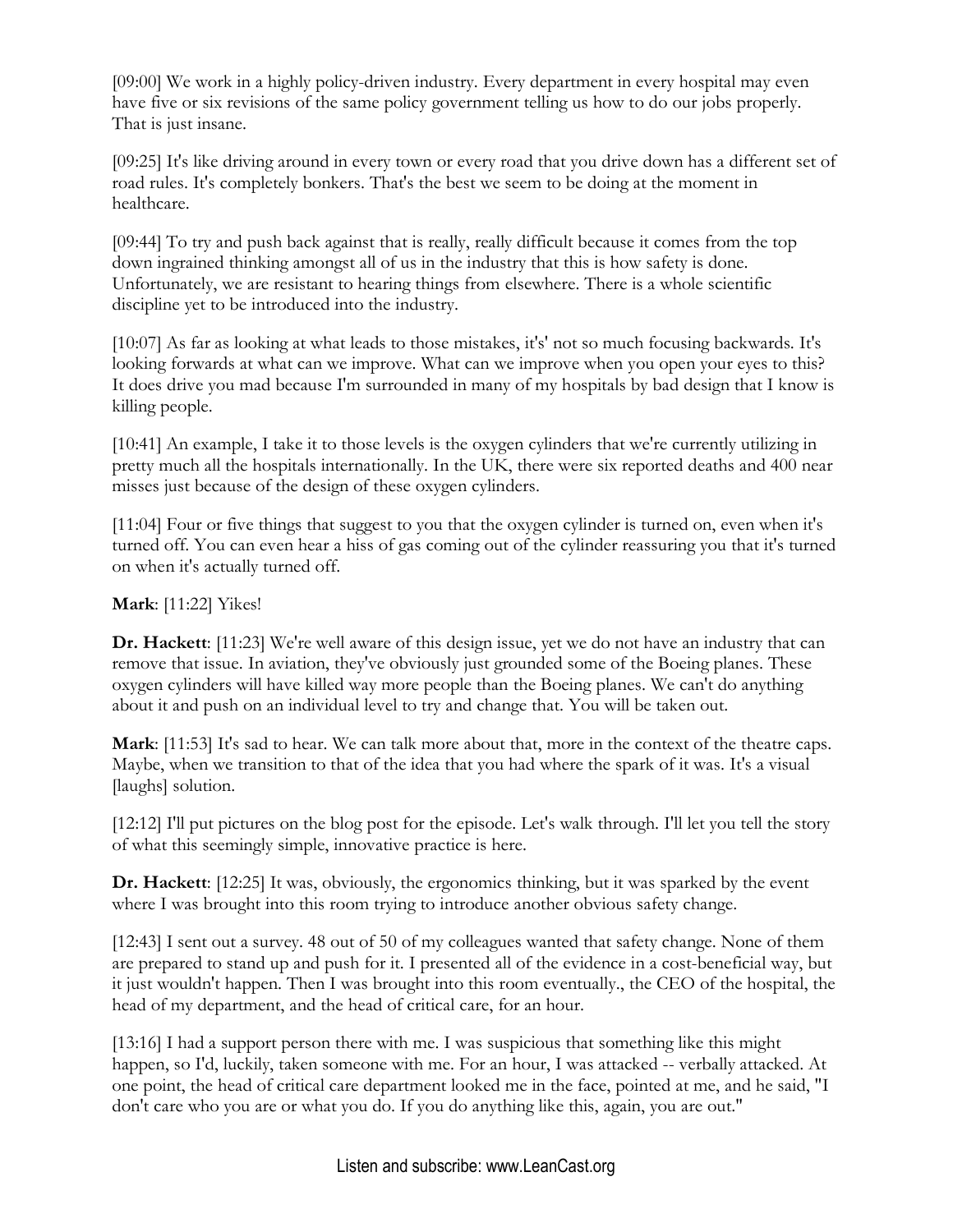[09:00] We work in a highly policy-driven industry. Every department in every hospital may even have five or six revisions of the same policy government telling us how to do our jobs properly. That is just insane.

[09:25] It's like driving around in every town or every road that you drive down has a different set of road rules. It's completely bonkers. That's the best we seem to be doing at the moment in healthcare.

[09:44] To try and push back against that is really, really difficult because it comes from the top down ingrained thinking amongst all of us in the industry that this is how safety is done. Unfortunately, we are resistant to hearing things from elsewhere. There is a whole scientific discipline yet to be introduced into the industry.

[10:07] As far as looking at what leads to those mistakes, it's' not so much focusing backwards. It's looking forwards at what can we improve. What can we improve when you open your eyes to this? It does drive you mad because I'm surrounded in many of my hospitals by bad design that I know is killing people.

[10:41] An example, I take it to those levels is the oxygen cylinders that we're currently utilizing in pretty much all the hospitals internationally. In the UK, there were six reported deaths and 400 near misses just because of the design of these oxygen cylinders.

[11:04] Four or five things that suggest to you that the oxygen cylinder is turned on, even when it's turned off. You can even hear a hiss of gas coming out of the cylinder reassuring you that it's turned on when it's actually turned off.

## **Mark**: [11:22] Yikes!

**Dr. Hackett**: [11:23] We're well aware of this design issue, yet we do not have an industry that can remove that issue. In aviation, they've obviously just grounded some of the Boeing planes. These oxygen cylinders will have killed way more people than the Boeing planes. We can't do anything about it and push on an individual level to try and change that. You will be taken out.

**Mark**: [11:53] It's sad to hear. We can talk more about that, more in the context of the theatre caps. Maybe, when we transition to that of the idea that you had where the spark of it was. It's a visual [laughs] solution.

[12:12] I'll put pictures on the blog post for the episode. Let's walk through. I'll let you tell the story of what this seemingly simple, innovative practice is here.

**Dr. Hackett**: [12:25] It was, obviously, the ergonomics thinking, but it was sparked by the event where I was brought into this room trying to introduce another obvious safety change.

[12:43] I sent out a survey. 48 out of 50 of my colleagues wanted that safety change. None of them are prepared to stand up and push for it. I presented all of the evidence in a cost-beneficial way, but it just wouldn't happen. Then I was brought into this room eventually., the CEO of the hospital, the head of my department, and the head of critical care, for an hour.

[13:16] I had a support person there with me. I was suspicious that something like this might happen, so I'd, luckily, taken someone with me. For an hour, I was attacked -- verbally attacked. At one point, the head of critical care department looked me in the face, pointed at me, and he said, "I don't care who you are or what you do. If you do anything like this, again, you are out."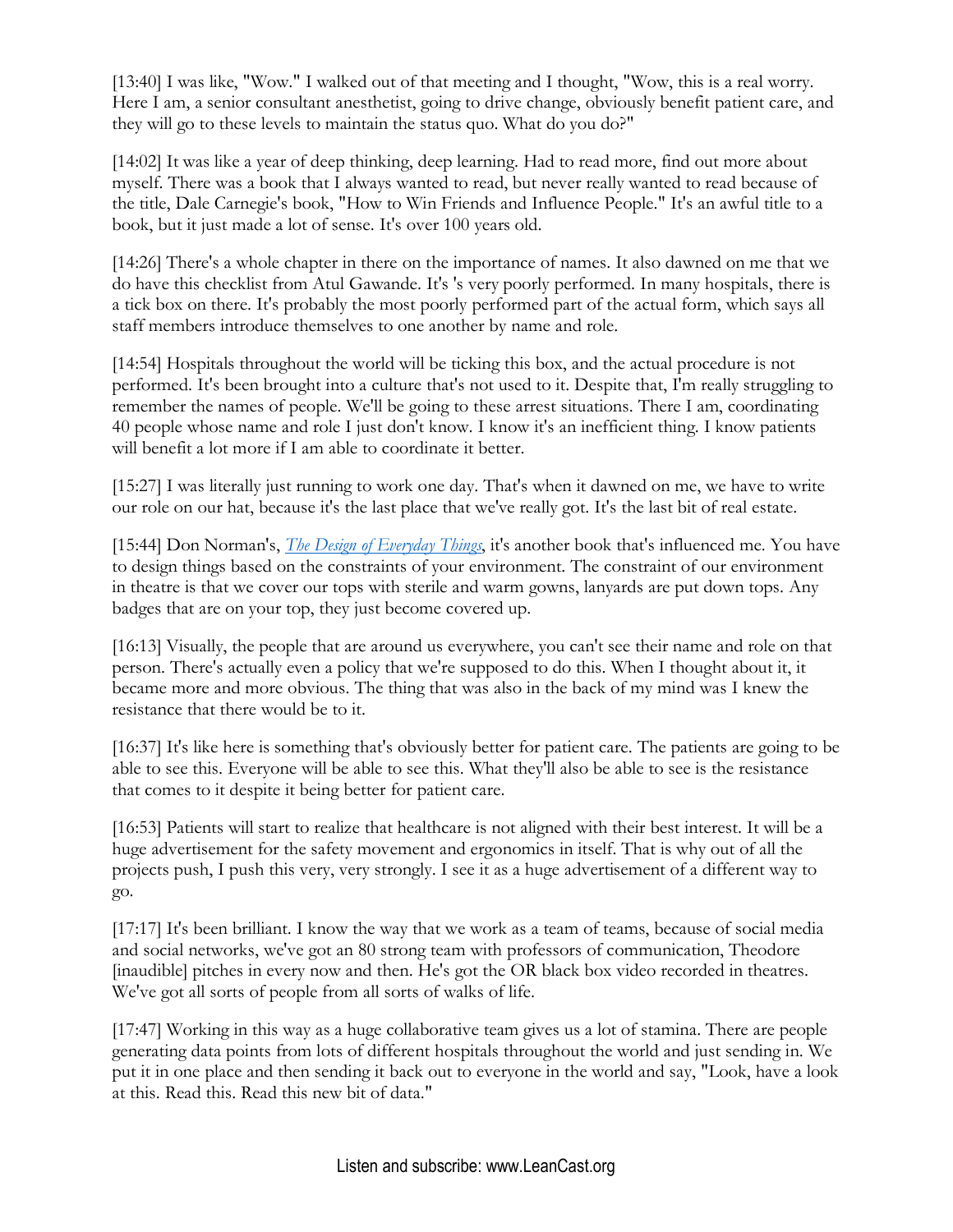[13:40] I was like, "Wow." I walked out of that meeting and I thought, "Wow, this is a real worry. Here I am, a senior consultant anesthetist, going to drive change, obviously benefit patient care, and they will go to these levels to maintain the status quo. What do you do?"

[14:02] It was like a year of deep thinking, deep learning. Had to read more, find out more about myself. There was a book that I always wanted to read, but never really wanted to read because of the title, Dale Carnegie's book, "How to Win Friends and Influence People." It's an awful title to a book, but it just made a lot of sense. It's over 100 years old.

[14:26] There's a whole chapter in there on the importance of names. It also dawned on me that we do have this checklist from Atul Gawande. It's 's very poorly performed. In many hospitals, there is a tick box on there. It's probably the most poorly performed part of the actual form, which says all staff members introduce themselves to one another by name and role.

[14:54] Hospitals throughout the world will be ticking this box, and the actual procedure is not performed. It's been brought into a culture that's not used to it. Despite that, I'm really struggling to remember the names of people. We'll be going to these arrest situations. There I am, coordinating 40 people whose name and role I just don't know. I know it's an inefficient thing. I know patients will benefit a lot more if I am able to coordinate it better.

[15:27] I was literally just running to work one day. That's when it dawned on me, we have to write our role on our hat, because it's the last place that we've really got. It's the last bit of real estate.

[15:44] Don Norman's, *[The Design of Everyday Things](https://amzn.to/2Yp5vuK)*, it's another book that's influenced me. You have to design things based on the constraints of your environment. The constraint of our environment in theatre is that we cover our tops with sterile and warm gowns, lanyards are put down tops. Any badges that are on your top, they just become covered up.

[16:13] Visually, the people that are around us everywhere, you can't see their name and role on that person. There's actually even a policy that we're supposed to do this. When I thought about it, it became more and more obvious. The thing that was also in the back of my mind was I knew the resistance that there would be to it.

[16:37] It's like here is something that's obviously better for patient care. The patients are going to be able to see this. Everyone will be able to see this. What they'll also be able to see is the resistance that comes to it despite it being better for patient care.

[16:53] Patients will start to realize that healthcare is not aligned with their best interest. It will be a huge advertisement for the safety movement and ergonomics in itself. That is why out of all the projects push, I push this very, very strongly. I see it as a huge advertisement of a different way to go.

[17:17] It's been brilliant. I know the way that we work as a team of teams, because of social media and social networks, we've got an 80 strong team with professors of communication, Theodore [inaudible] pitches in every now and then. He's got the OR black box video recorded in theatres. We've got all sorts of people from all sorts of walks of life.

[17:47] Working in this way as a huge collaborative team gives us a lot of stamina. There are people generating data points from lots of different hospitals throughout the world and just sending in. We put it in one place and then sending it back out to everyone in the world and say, "Look, have a look at this. Read this. Read this new bit of data."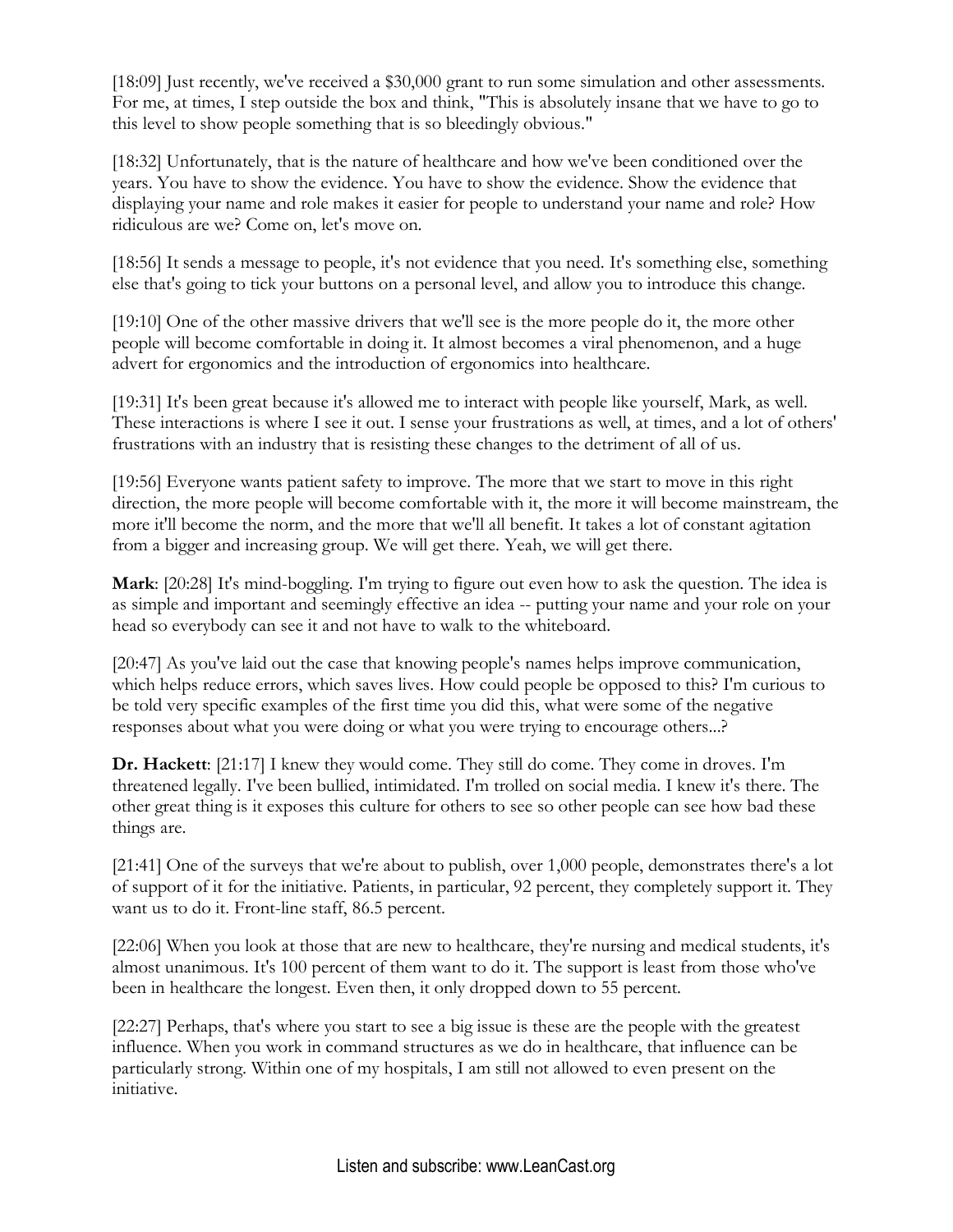[18:09] Just recently, we've received a \$30,000 grant to run some simulation and other assessments. For me, at times, I step outside the box and think, "This is absolutely insane that we have to go to this level to show people something that is so bleedingly obvious."

[18:32] Unfortunately, that is the nature of healthcare and how we've been conditioned over the years. You have to show the evidence. You have to show the evidence. Show the evidence that displaying your name and role makes it easier for people to understand your name and role? How ridiculous are we? Come on, let's move on.

[18:56] It sends a message to people, it's not evidence that you need. It's something else, something else that's going to tick your buttons on a personal level, and allow you to introduce this change.

[19:10] One of the other massive drivers that we'll see is the more people do it, the more other people will become comfortable in doing it. It almost becomes a viral phenomenon, and a huge advert for ergonomics and the introduction of ergonomics into healthcare.

[19:31] It's been great because it's allowed me to interact with people like yourself, Mark, as well. These interactions is where I see it out. I sense your frustrations as well, at times, and a lot of others' frustrations with an industry that is resisting these changes to the detriment of all of us.

[19:56] Everyone wants patient safety to improve. The more that we start to move in this right direction, the more people will become comfortable with it, the more it will become mainstream, the more it'll become the norm, and the more that we'll all benefit. It takes a lot of constant agitation from a bigger and increasing group. We will get there. Yeah, we will get there.

**Mark**: [20:28] It's mind-boggling. I'm trying to figure out even how to ask the question. The idea is as simple and important and seemingly effective an idea -- putting your name and your role on your head so everybody can see it and not have to walk to the whiteboard.

[20:47] As you've laid out the case that knowing people's names helps improve communication, which helps reduce errors, which saves lives. How could people be opposed to this? I'm curious to be told very specific examples of the first time you did this, what were some of the negative responses about what you were doing or what you were trying to encourage others...?

**Dr. Hackett**: [21:17] I knew they would come. They still do come. They come in droves. I'm threatened legally. I've been bullied, intimidated. I'm trolled on social media. I knew it's there. The other great thing is it exposes this culture for others to see so other people can see how bad these things are.

[21:41] One of the surveys that we're about to publish, over 1,000 people, demonstrates there's a lot of support of it for the initiative. Patients, in particular, 92 percent, they completely support it. They want us to do it. Front-line staff, 86.5 percent.

[22:06] When you look at those that are new to healthcare, they're nursing and medical students, it's almost unanimous. It's 100 percent of them want to do it. The support is least from those who've been in healthcare the longest. Even then, it only dropped down to 55 percent.

[22:27] Perhaps, that's where you start to see a big issue is these are the people with the greatest influence. When you work in command structures as we do in healthcare, that influence can be particularly strong. Within one of my hospitals, I am still not allowed to even present on the initiative.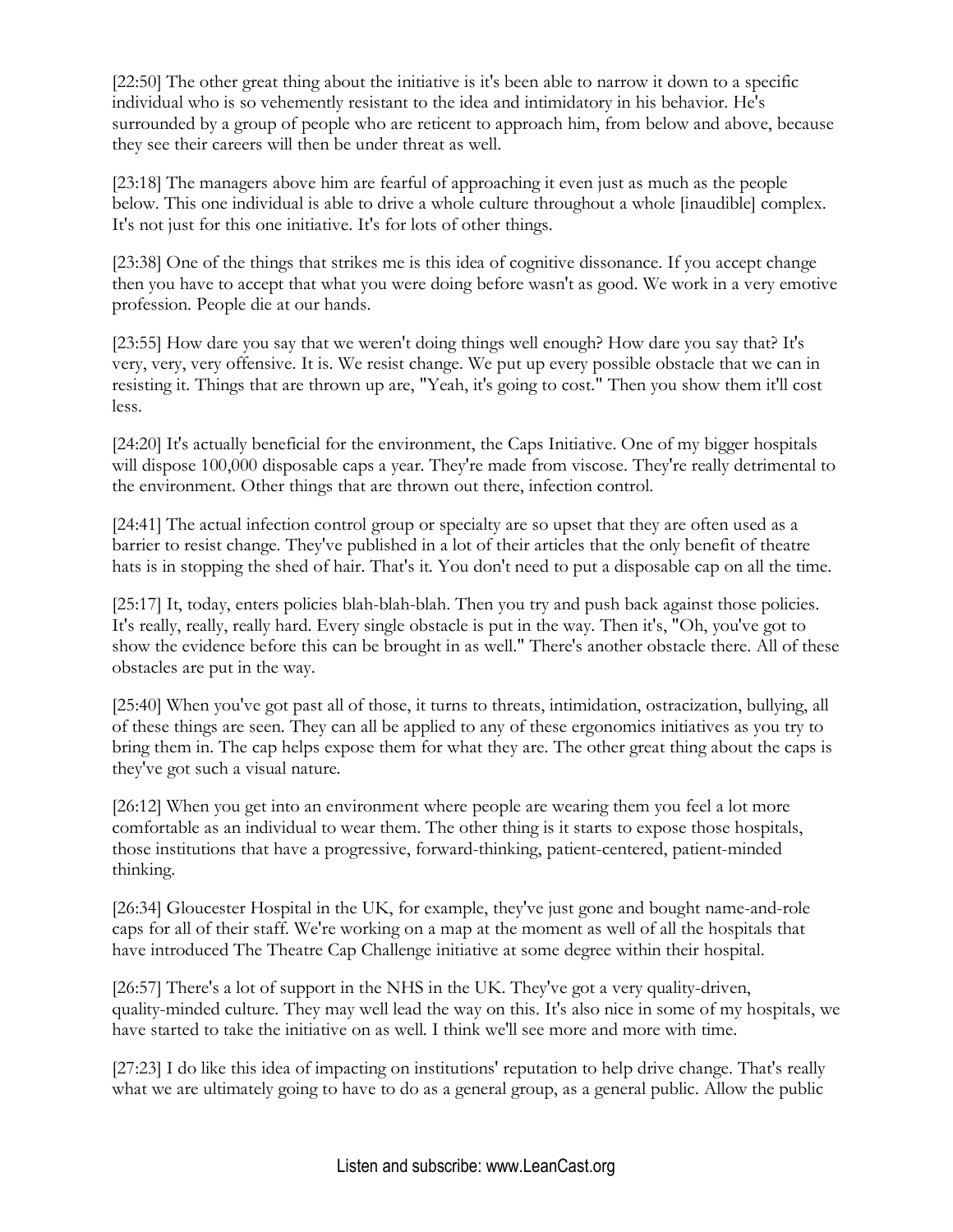[22:50] The other great thing about the initiative is it's been able to narrow it down to a specific individual who is so vehemently resistant to the idea and intimidatory in his behavior. He's surrounded by a group of people who are reticent to approach him, from below and above, because they see their careers will then be under threat as well.

[23:18] The managers above him are fearful of approaching it even just as much as the people below. This one individual is able to drive a whole culture throughout a whole [inaudible] complex. It's not just for this one initiative. It's for lots of other things.

[23:38] One of the things that strikes me is this idea of cognitive dissonance. If you accept change then you have to accept that what you were doing before wasn't as good. We work in a very emotive profession. People die at our hands.

[23:55] How dare you say that we weren't doing things well enough? How dare you say that? It's very, very, very offensive. It is. We resist change. We put up every possible obstacle that we can in resisting it. Things that are thrown up are, "Yeah, it's going to cost." Then you show them it'll cost less.

[24:20] It's actually beneficial for the environment, the Caps Initiative. One of my bigger hospitals will dispose 100,000 disposable caps a year. They're made from viscose. They're really detrimental to the environment. Other things that are thrown out there, infection control.

[24:41] The actual infection control group or specialty are so upset that they are often used as a barrier to resist change. They've published in a lot of their articles that the only benefit of theatre hats is in stopping the shed of hair. That's it. You don't need to put a disposable cap on all the time.

[25:17] It, today, enters policies blah-blah-blah. Then you try and push back against those policies. It's really, really, really hard. Every single obstacle is put in the way. Then it's, "Oh, you've got to show the evidence before this can be brought in as well." There's another obstacle there. All of these obstacles are put in the way.

[25:40] When you've got past all of those, it turns to threats, intimidation, ostracization, bullying, all of these things are seen. They can all be applied to any of these ergonomics initiatives as you try to bring them in. The cap helps expose them for what they are. The other great thing about the caps is they've got such a visual nature.

[26:12] When you get into an environment where people are wearing them you feel a lot more comfortable as an individual to wear them. The other thing is it starts to expose those hospitals, those institutions that have a progressive, forward-thinking, patient-centered, patient-minded thinking.

[26:34] Gloucester Hospital in the UK, for example, they've just gone and bought name-and-role caps for all of their staff. We're working on a map at the moment as well of all the hospitals that have introduced The Theatre Cap Challenge initiative at some degree within their hospital.

[26:57] There's a lot of support in the NHS in the UK. They've got a very quality-driven, quality-minded culture. They may well lead the way on this. It's also nice in some of my hospitals, we have started to take the initiative on as well. I think we'll see more and more with time.

[27:23] I do like this idea of impacting on institutions' reputation to help drive change. That's really what we are ultimately going to have to do as a general group, as a general public. Allow the public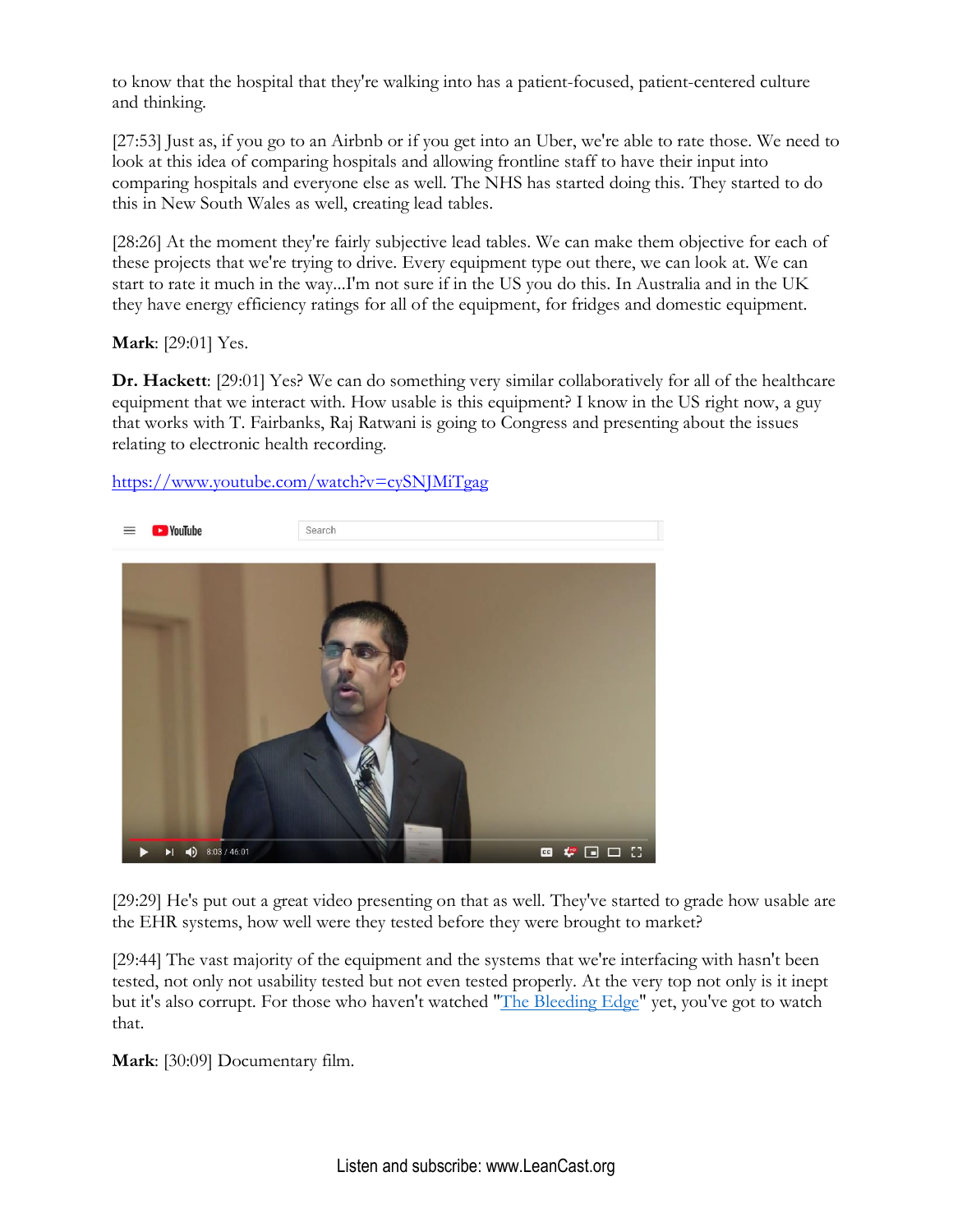to know that the hospital that they're walking into has a patient-focused, patient-centered culture and thinking.

[27:53] Just as, if you go to an Airbnb or if you get into an Uber, we're able to rate those. We need to look at this idea of comparing hospitals and allowing frontline staff to have their input into comparing hospitals and everyone else as well. The NHS has started doing this. They started to do this in New South Wales as well, creating lead tables.

[28:26] At the moment they're fairly subjective lead tables. We can make them objective for each of these projects that we're trying to drive. Every equipment type out there, we can look at. We can start to rate it much in the way...I'm not sure if in the US you do this. In Australia and in the UK they have energy efficiency ratings for all of the equipment, for fridges and domestic equipment.

**Mark**: [29:01] Yes.

**Dr. Hackett**: [29:01] Yes? We can do something very similar collaboratively for all of the healthcare equipment that we interact with. How usable is this equipment? I know in the US right now, a guy that works with T. Fairbanks, Raj Ratwani is going to Congress and presenting about the issues relating to electronic health recording.

<https://www.youtube.com/watch?v=cySNJMiTgag>



[29:29] He's put out a great video presenting on that as well. They've started to grade how usable are the EHR systems, how well were they tested before they were brought to market?

[29:44] The vast majority of the equipment and the systems that we're interfacing with hasn't been tested, not only not usability tested but not even tested properly. At the very top not only is it inept but it's also corrupt. For those who haven't watched ["The Bleeding Edge"](https://www.netflix.com/title/80170862) yet, you've got to watch that.

**Mark**: [30:09] Documentary film.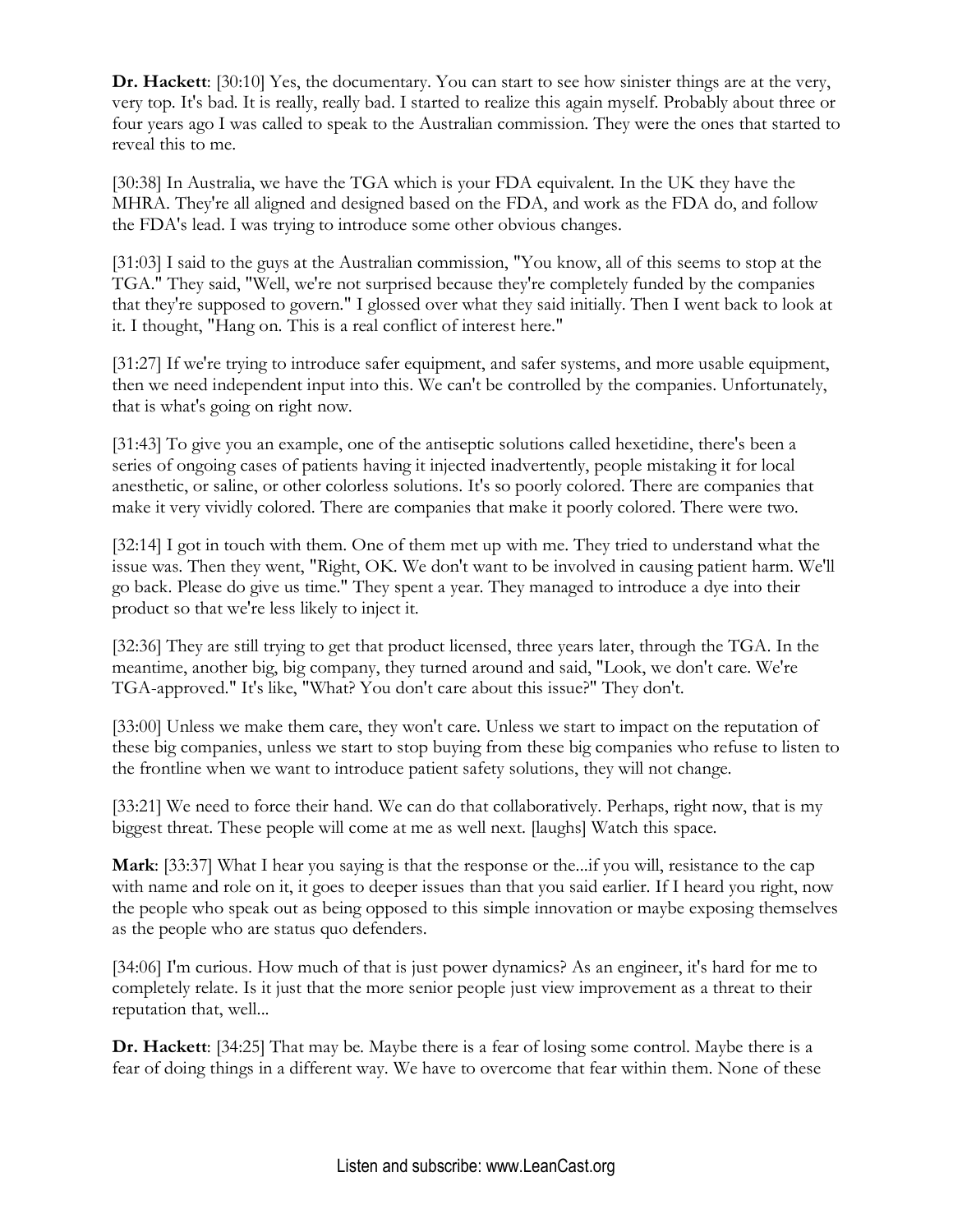**Dr. Hackett**: [30:10] Yes, the documentary. You can start to see how sinister things are at the very, very top. It's bad. It is really, really bad. I started to realize this again myself. Probably about three or four years ago I was called to speak to the Australian commission. They were the ones that started to reveal this to me.

[30:38] In Australia, we have the TGA which is your FDA equivalent. In the UK they have the MHRA. They're all aligned and designed based on the FDA, and work as the FDA do, and follow the FDA's lead. I was trying to introduce some other obvious changes.

[31:03] I said to the guys at the Australian commission, "You know, all of this seems to stop at the TGA." They said, "Well, we're not surprised because they're completely funded by the companies that they're supposed to govern." I glossed over what they said initially. Then I went back to look at it. I thought, "Hang on. This is a real conflict of interest here."

[31:27] If we're trying to introduce safer equipment, and safer systems, and more usable equipment, then we need independent input into this. We can't be controlled by the companies. Unfortunately, that is what's going on right now.

[31:43] To give you an example, one of the antiseptic solutions called hexetidine, there's been a series of ongoing cases of patients having it injected inadvertently, people mistaking it for local anesthetic, or saline, or other colorless solutions. It's so poorly colored. There are companies that make it very vividly colored. There are companies that make it poorly colored. There were two.

[32:14] I got in touch with them. One of them met up with me. They tried to understand what the issue was. Then they went, "Right, OK. We don't want to be involved in causing patient harm. We'll go back. Please do give us time." They spent a year. They managed to introduce a dye into their product so that we're less likely to inject it.

[32:36] They are still trying to get that product licensed, three years later, through the TGA. In the meantime, another big, big company, they turned around and said, "Look, we don't care. We're TGA-approved." It's like, "What? You don't care about this issue?" They don't.

[33:00] Unless we make them care, they won't care. Unless we start to impact on the reputation of these big companies, unless we start to stop buying from these big companies who refuse to listen to the frontline when we want to introduce patient safety solutions, they will not change.

[33:21] We need to force their hand. We can do that collaboratively. Perhaps, right now, that is my biggest threat. These people will come at me as well next. [laughs] Watch this space.

**Mark**: [33:37] What I hear you saying is that the response or the...if you will, resistance to the cap with name and role on it, it goes to deeper issues than that you said earlier. If I heard you right, now the people who speak out as being opposed to this simple innovation or maybe exposing themselves as the people who are status quo defenders.

[34:06] I'm curious. How much of that is just power dynamics? As an engineer, it's hard for me to completely relate. Is it just that the more senior people just view improvement as a threat to their reputation that, well...

**Dr. Hackett**: [34:25] That may be. Maybe there is a fear of losing some control. Maybe there is a fear of doing things in a different way. We have to overcome that fear within them. None of these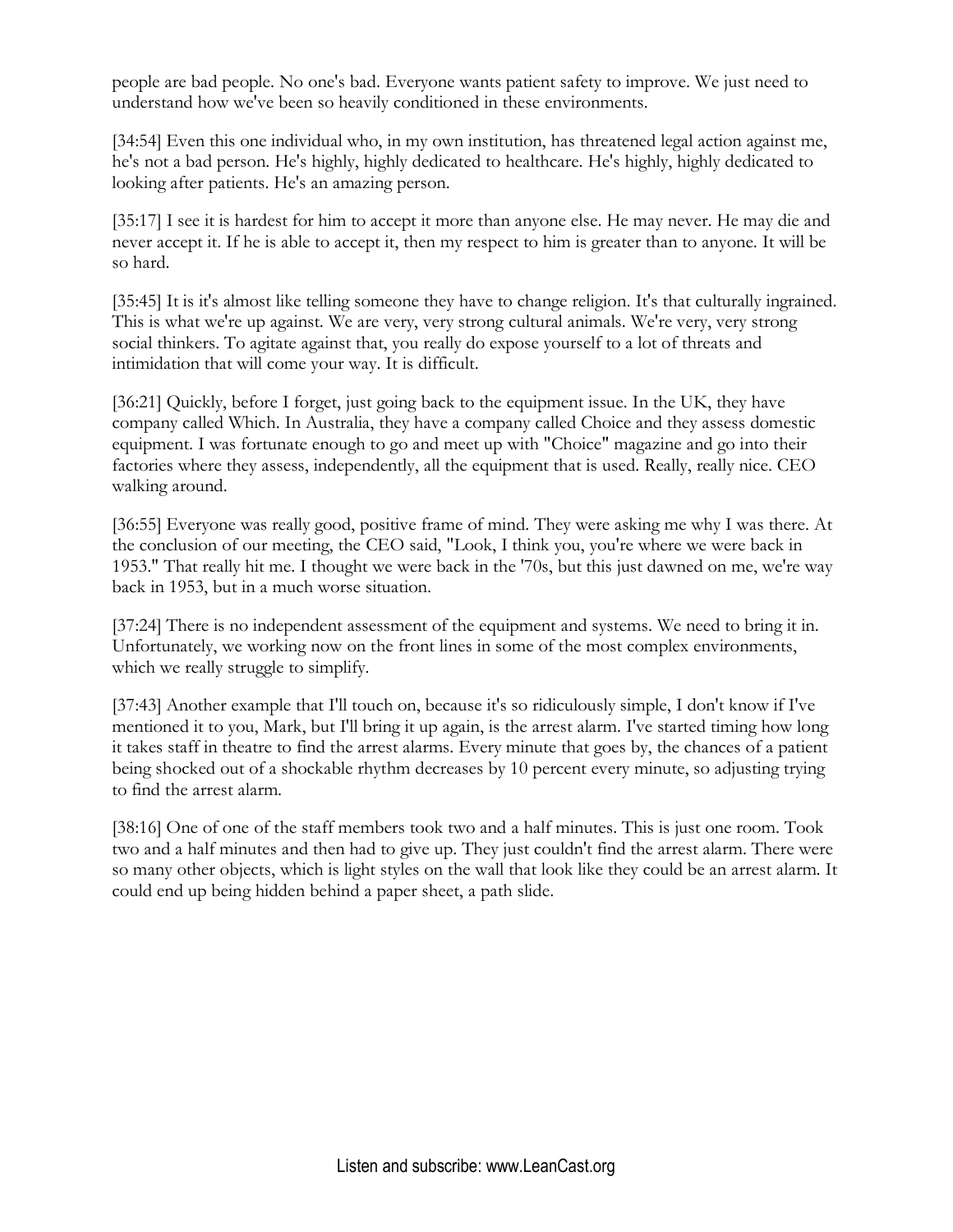people are bad people. No one's bad. Everyone wants patient safety to improve. We just need to understand how we've been so heavily conditioned in these environments.

[34:54] Even this one individual who, in my own institution, has threatened legal action against me, he's not a bad person. He's highly, highly dedicated to healthcare. He's highly, highly dedicated to looking after patients. He's an amazing person.

[35:17] I see it is hardest for him to accept it more than anyone else. He may never. He may die and never accept it. If he is able to accept it, then my respect to him is greater than to anyone. It will be so hard.

[35:45] It is it's almost like telling someone they have to change religion. It's that culturally ingrained. This is what we're up against. We are very, very strong cultural animals. We're very, very strong social thinkers. To agitate against that, you really do expose yourself to a lot of threats and intimidation that will come your way. It is difficult.

[36:21] Quickly, before I forget, just going back to the equipment issue. In the UK, they have company called Which. In Australia, they have a company called Choice and they assess domestic equipment. I was fortunate enough to go and meet up with "Choice" magazine and go into their factories where they assess, independently, all the equipment that is used. Really, really nice. CEO walking around.

[36:55] Everyone was really good, positive frame of mind. They were asking me why I was there. At the conclusion of our meeting, the CEO said, "Look, I think you, you're where we were back in 1953." That really hit me. I thought we were back in the '70s, but this just dawned on me, we're way back in 1953, but in a much worse situation.

[37:24] There is no independent assessment of the equipment and systems. We need to bring it in. Unfortunately, we working now on the front lines in some of the most complex environments, which we really struggle to simplify.

[37:43] Another example that I'll touch on, because it's so ridiculously simple, I don't know if I've mentioned it to you, Mark, but I'll bring it up again, is the arrest alarm. I've started timing how long it takes staff in theatre to find the arrest alarms. Every minute that goes by, the chances of a patient being shocked out of a shockable rhythm decreases by 10 percent every minute, so adjusting trying to find the arrest alarm.

[38:16] One of one of the staff members took two and a half minutes. This is just one room. Took two and a half minutes and then had to give up. They just couldn't find the arrest alarm. There were so many other objects, which is light styles on the wall that look like they could be an arrest alarm. It could end up being hidden behind a paper sheet, a path slide.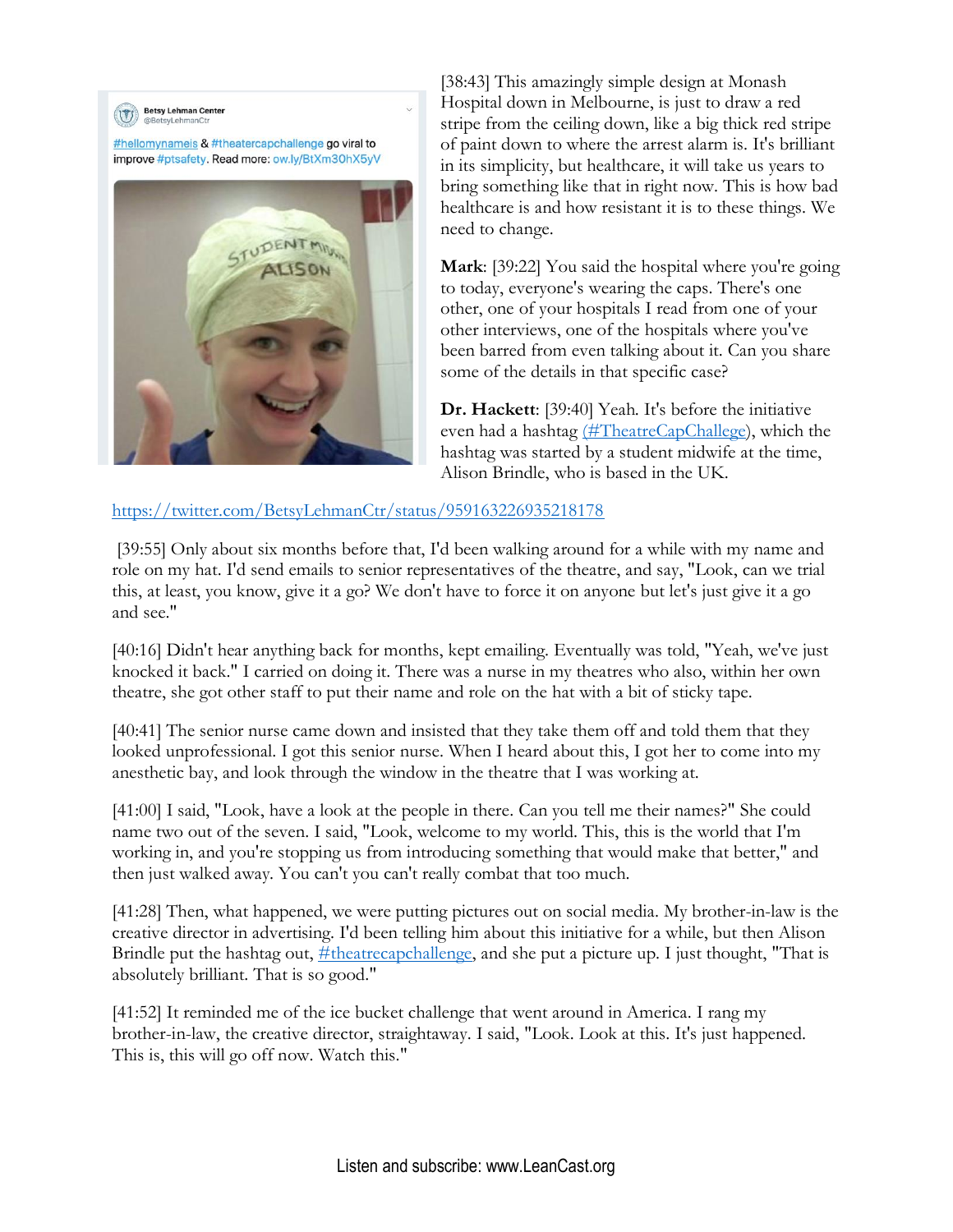

[38:43] This amazingly simple design at Monash Hospital down in Melbourne, is just to draw a red stripe from the ceiling down, like a big thick red stripe of paint down to where the arrest alarm is. It's brilliant in its simplicity, but healthcare, it will take us years to bring something like that in right now. This is how bad healthcare is and how resistant it is to these things. We need to change.

**Mark**: [39:22] You said the hospital where you're going to today, everyone's wearing the caps. There's one other, one of your hospitals I read from one of your other interviews, one of the hospitals where you've been barred from even talking about it. Can you share some of the details in that specific case?

**Dr. Hackett**: [39:40] Yeah. It's before the initiative even had a hashtag [\(#TheatreCapChallege\)](https://twitter.com/search?q=%23theatrecapchallenge&src=typed_query), which the hashtag was started by a student midwife at the time, Alison Brindle, who is based in the UK.

## <https://twitter.com/BetsyLehmanCtr/status/959163226935218178>

[39:55] Only about six months before that, I'd been walking around for a while with my name and role on my hat. I'd send emails to senior representatives of the theatre, and say, "Look, can we trial this, at least, you know, give it a go? We don't have to force it on anyone but let's just give it a go and see."

[40:16] Didn't hear anything back for months, kept emailing. Eventually was told, "Yeah, we've just knocked it back." I carried on doing it. There was a nurse in my theatres who also, within her own theatre, she got other staff to put their name and role on the hat with a bit of sticky tape.

[40:41] The senior nurse came down and insisted that they take them off and told them that they looked unprofessional. I got this senior nurse. When I heard about this, I got her to come into my anesthetic bay, and look through the window in the theatre that I was working at.

[41:00] I said, "Look, have a look at the people in there. Can you tell me their names?" She could name two out of the seven. I said, "Look, welcome to my world. This, this is the world that I'm working in, and you're stopping us from introducing something that would make that better," and then just walked away. You can't you can't really combat that too much.

[41:28] Then, what happened, we were putting pictures out on social media. My brother-in-law is the creative director in advertising. I'd been telling him about this initiative for a while, but then Alison Brindle put the hashtag out,  $\#$ theatrecapchallenge, and she put a picture up. I just thought, "That is absolutely brilliant. That is so good."

[41:52] It reminded me of the ice bucket challenge that went around in America. I rang my brother-in-law, the creative director, straightaway. I said, "Look. Look at this. It's just happened. This is, this will go off now. Watch this."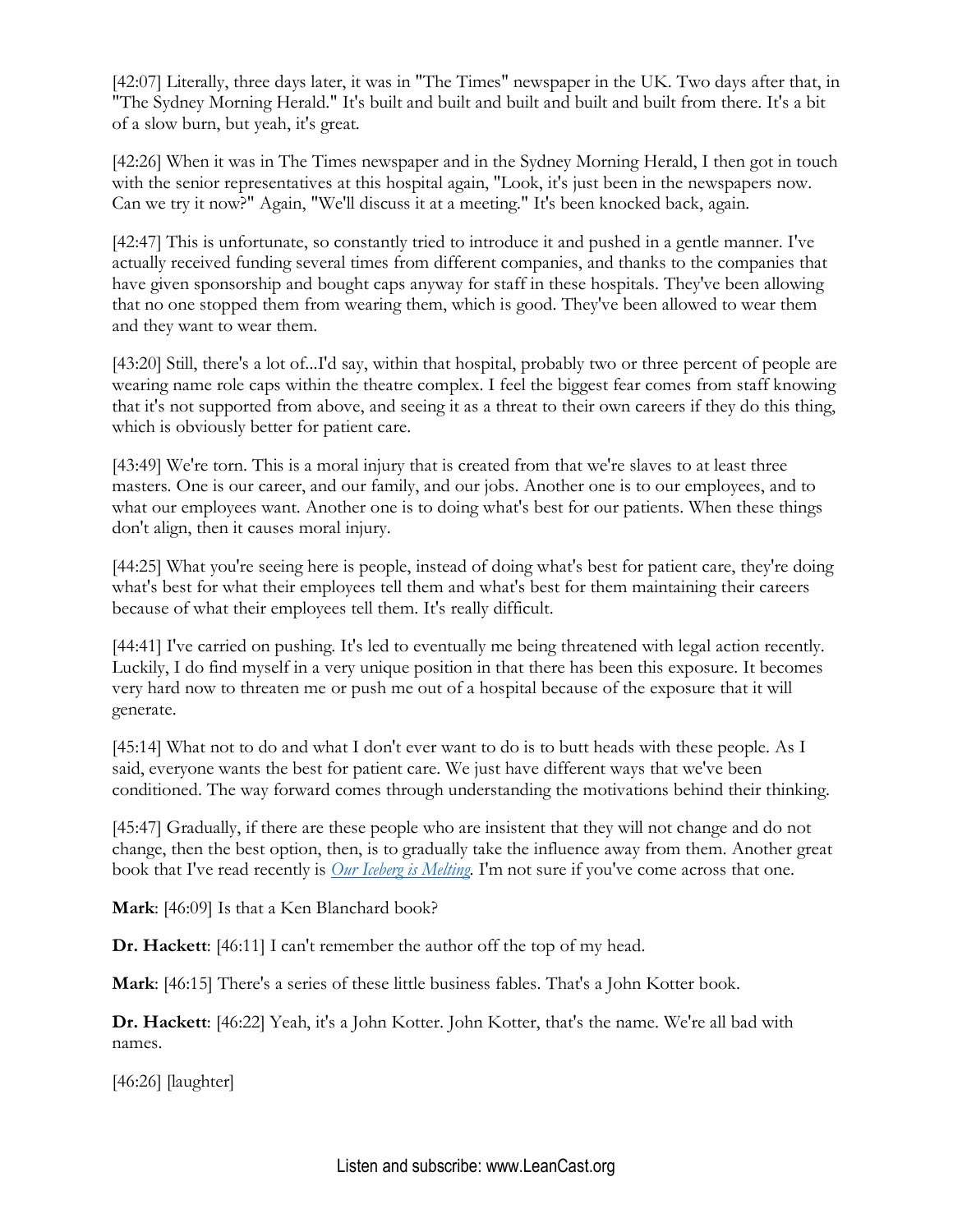[42:07] Literally, three days later, it was in "The Times" newspaper in the UK. Two days after that, in "The Sydney Morning Herald." It's built and built and built and built and built from there. It's a bit of a slow burn, but yeah, it's great.

[42:26] When it was in The Times newspaper and in the Sydney Morning Herald, I then got in touch with the senior representatives at this hospital again, "Look, it's just been in the newspapers now. Can we try it now?" Again, "We'll discuss it at a meeting." It's been knocked back, again.

[42:47] This is unfortunate, so constantly tried to introduce it and pushed in a gentle manner. I've actually received funding several times from different companies, and thanks to the companies that have given sponsorship and bought caps anyway for staff in these hospitals. They've been allowing that no one stopped them from wearing them, which is good. They've been allowed to wear them and they want to wear them.

[43:20] Still, there's a lot of...I'd say, within that hospital, probably two or three percent of people are wearing name role caps within the theatre complex. I feel the biggest fear comes from staff knowing that it's not supported from above, and seeing it as a threat to their own careers if they do this thing, which is obviously better for patient care.

[43:49] We're torn. This is a moral injury that is created from that we're slaves to at least three masters. One is our career, and our family, and our jobs. Another one is to our employees, and to what our employees want. Another one is to doing what's best for our patients. When these things don't align, then it causes moral injury.

[44:25] What you're seeing here is people, instead of doing what's best for patient care, they're doing what's best for what their employees tell them and what's best for them maintaining their careers because of what their employees tell them. It's really difficult.

[44:41] I've carried on pushing. It's led to eventually me being threatened with legal action recently. Luckily, I do find myself in a very unique position in that there has been this exposure. It becomes very hard now to threaten me or push me out of a hospital because of the exposure that it will generate.

[45:14] What not to do and what I don't ever want to do is to butt heads with these people. As I said, everyone wants the best for patient care. We just have different ways that we've been conditioned. The way forward comes through understanding the motivations behind their thinking.

[45:47] Gradually, if there are these people who are insistent that they will not change and do not change, then the best option, then, is to gradually take the influence away from them. Another great book that I've read recently is *[Our Iceberg is Melting](https://amzn.to/2W0LgWL)*. I'm not sure if you've come across that one.

**Mark**: [46:09] Is that a Ken Blanchard book?

**Dr. Hackett**: [46:11] I can't remember the author off the top of my head.

**Mark**: [46:15] There's a series of these little business fables. That's a John Kotter book.

**Dr. Hackett**: [46:22] Yeah, it's a John Kotter. John Kotter, that's the name. We're all bad with names.

[46:26] [laughter]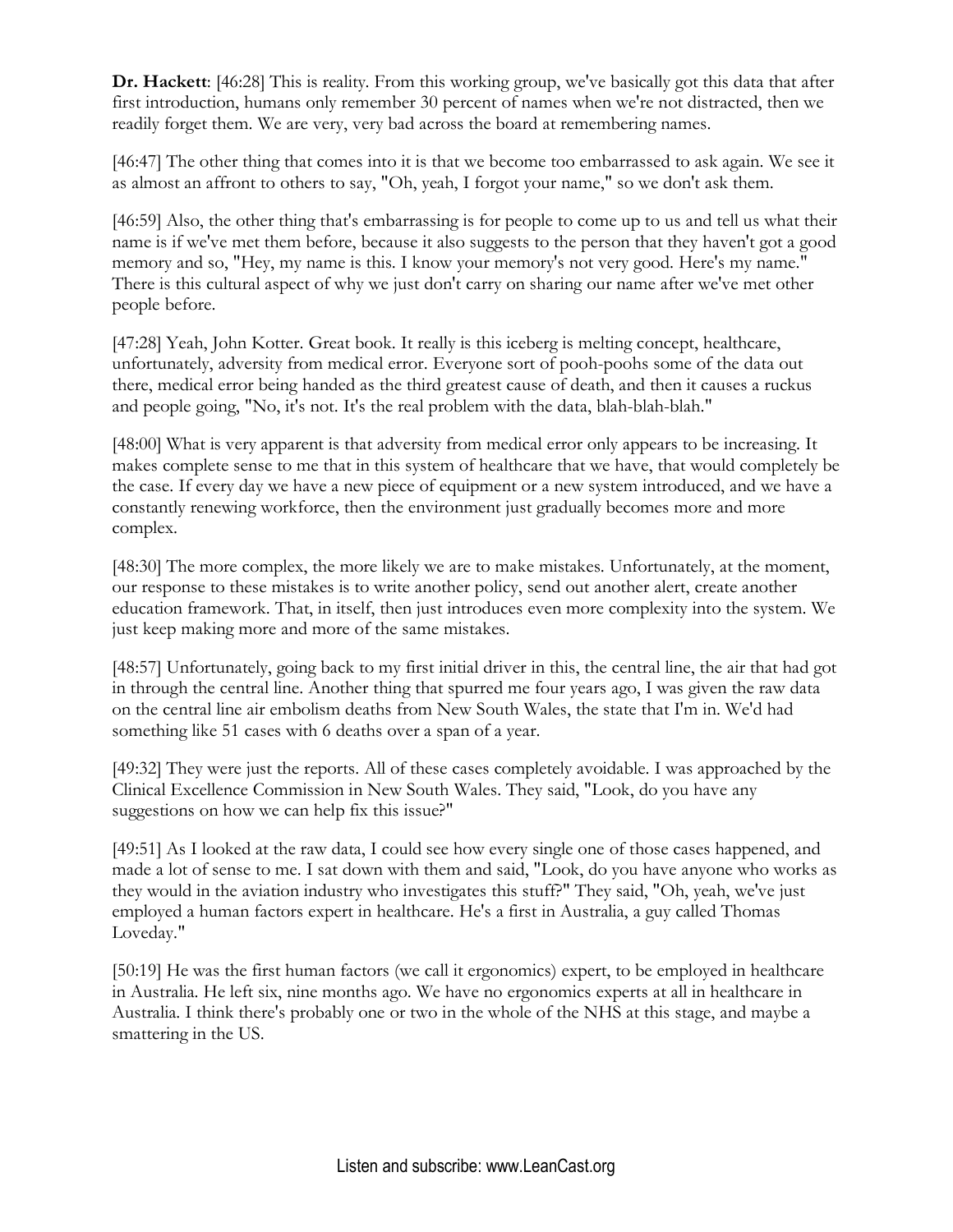**Dr. Hackett**: [46:28] This is reality. From this working group, we've basically got this data that after first introduction, humans only remember 30 percent of names when we're not distracted, then we readily forget them. We are very, very bad across the board at remembering names.

[46:47] The other thing that comes into it is that we become too embarrassed to ask again. We see it as almost an affront to others to say, "Oh, yeah, I forgot your name," so we don't ask them.

[46:59] Also, the other thing that's embarrassing is for people to come up to us and tell us what their name is if we've met them before, because it also suggests to the person that they haven't got a good memory and so, "Hey, my name is this. I know your memory's not very good. Here's my name." There is this cultural aspect of why we just don't carry on sharing our name after we've met other people before.

[47:28] Yeah, John Kotter. Great book. It really is this iceberg is melting concept, healthcare, unfortunately, adversity from medical error. Everyone sort of pooh-poohs some of the data out there, medical error being handed as the third greatest cause of death, and then it causes a ruckus and people going, "No, it's not. It's the real problem with the data, blah-blah-blah."

[48:00] What is very apparent is that adversity from medical error only appears to be increasing. It makes complete sense to me that in this system of healthcare that we have, that would completely be the case. If every day we have a new piece of equipment or a new system introduced, and we have a constantly renewing workforce, then the environment just gradually becomes more and more complex.

[48:30] The more complex, the more likely we are to make mistakes. Unfortunately, at the moment, our response to these mistakes is to write another policy, send out another alert, create another education framework. That, in itself, then just introduces even more complexity into the system. We just keep making more and more of the same mistakes.

[48:57] Unfortunately, going back to my first initial driver in this, the central line, the air that had got in through the central line. Another thing that spurred me four years ago, I was given the raw data on the central line air embolism deaths from New South Wales, the state that I'm in. We'd had something like 51 cases with 6 deaths over a span of a year.

[49:32] They were just the reports. All of these cases completely avoidable. I was approached by the Clinical Excellence Commission in New South Wales. They said, "Look, do you have any suggestions on how we can help fix this issue?"

[49:51] As I looked at the raw data, I could see how every single one of those cases happened, and made a lot of sense to me. I sat down with them and said, "Look, do you have anyone who works as they would in the aviation industry who investigates this stuff?" They said, "Oh, yeah, we've just employed a human factors expert in healthcare. He's a first in Australia, a guy called Thomas Loveday."

[50:19] He was the first human factors (we call it ergonomics) expert, to be employed in healthcare in Australia. He left six, nine months ago. We have no ergonomics experts at all in healthcare in Australia. I think there's probably one or two in the whole of the NHS at this stage, and maybe a smattering in the US.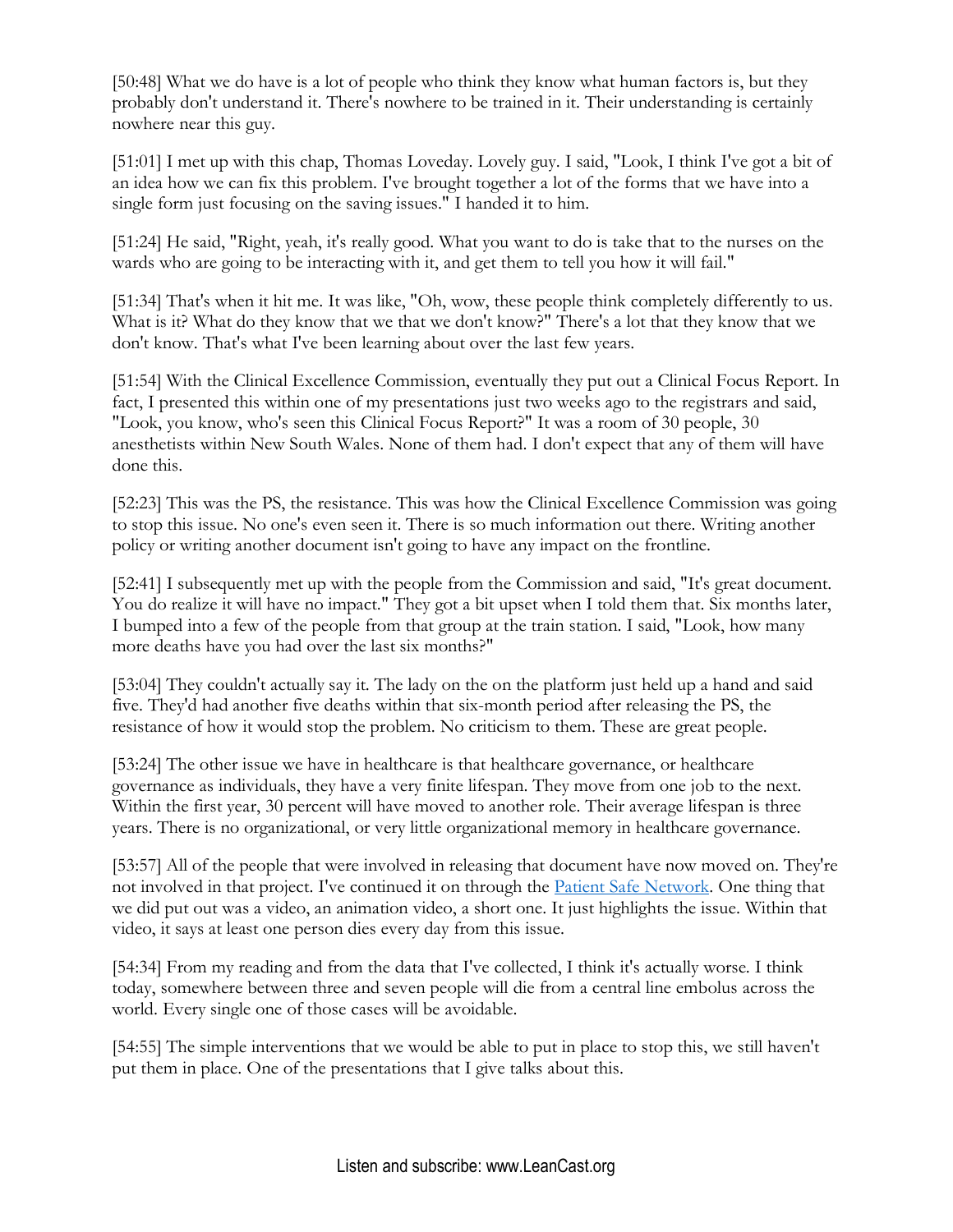[50:48] What we do have is a lot of people who think they know what human factors is, but they probably don't understand it. There's nowhere to be trained in it. Their understanding is certainly nowhere near this guy.

[51:01] I met up with this chap, Thomas Loveday. Lovely guy. I said, "Look, I think I've got a bit of an idea how we can fix this problem. I've brought together a lot of the forms that we have into a single form just focusing on the saving issues." I handed it to him.

[51:24] He said, "Right, yeah, it's really good. What you want to do is take that to the nurses on the wards who are going to be interacting with it, and get them to tell you how it will fail."

[51:34] That's when it hit me. It was like, "Oh, wow, these people think completely differently to us. What is it? What do they know that we that we don't know?" There's a lot that they know that we don't know. That's what I've been learning about over the last few years.

[51:54] With the Clinical Excellence Commission, eventually they put out a Clinical Focus Report. In fact, I presented this within one of my presentations just two weeks ago to the registrars and said, "Look, you know, who's seen this Clinical Focus Report?" It was a room of 30 people, 30 anesthetists within New South Wales. None of them had. I don't expect that any of them will have done this.

[52:23] This was the PS, the resistance. This was how the Clinical Excellence Commission was going to stop this issue. No one's even seen it. There is so much information out there. Writing another policy or writing another document isn't going to have any impact on the frontline.

[52:41] I subsequently met up with the people from the Commission and said, "It's great document. You do realize it will have no impact." They got a bit upset when I told them that. Six months later, I bumped into a few of the people from that group at the train station. I said, "Look, how many more deaths have you had over the last six months?"

[53:04] They couldn't actually say it. The lady on the on the platform just held up a hand and said five. They'd had another five deaths within that six-month period after releasing the PS, the resistance of how it would stop the problem. No criticism to them. These are great people.

[53:24] The other issue we have in healthcare is that healthcare governance, or healthcare governance as individuals, they have a very finite lifespan. They move from one job to the next. Within the first year, 30 percent will have moved to another role. Their average lifespan is three years. There is no organizational, or very little organizational memory in healthcare governance.

[53:57] All of the people that were involved in releasing that document have now moved on. They're not involved in that project. I've continued it on through the [Patient Safe Network.](https://www.psnetwork.org/about/) One thing that we did put out was a video, an animation video, a short one. It just highlights the issue. Within that video, it says at least one person dies every day from this issue.

[54:34] From my reading and from the data that I've collected, I think it's actually worse. I think today, somewhere between three and seven people will die from a central line embolus across the world. Every single one of those cases will be avoidable.

[54:55] The simple interventions that we would be able to put in place to stop this, we still haven't put them in place. One of the presentations that I give talks about this.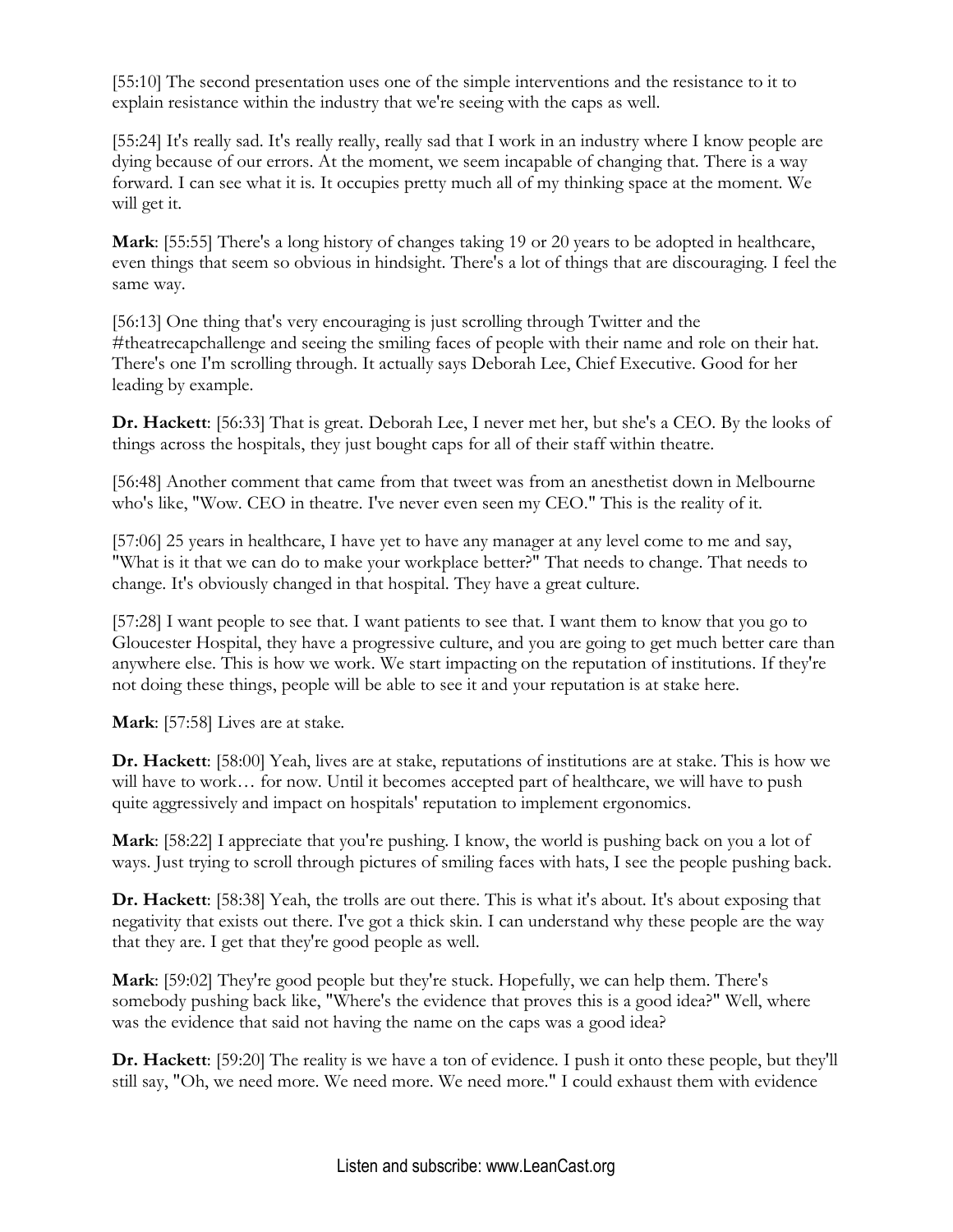[55:10] The second presentation uses one of the simple interventions and the resistance to it to explain resistance within the industry that we're seeing with the caps as well.

[55:24] It's really sad. It's really really, really sad that I work in an industry where I know people are dying because of our errors. At the moment, we seem incapable of changing that. There is a way forward. I can see what it is. It occupies pretty much all of my thinking space at the moment. We will get it.

**Mark**: [55:55] There's a long history of changes taking 19 or 20 years to be adopted in healthcare, even things that seem so obvious in hindsight. There's a lot of things that are discouraging. I feel the same way.

[56:13] One thing that's very encouraging is just scrolling through Twitter and the #theatrecapchallenge and seeing the smiling faces of people with their name and role on their hat. There's one I'm scrolling through. It actually says Deborah Lee, Chief Executive. Good for her leading by example.

**Dr. Hackett**: [56:33] That is great. Deborah Lee, I never met her, but she's a CEO. By the looks of things across the hospitals, they just bought caps for all of their staff within theatre.

[56:48] Another comment that came from that tweet was from an anesthetist down in Melbourne who's like, "Wow. CEO in theatre. I've never even seen my CEO." This is the reality of it.

[57:06] 25 years in healthcare, I have yet to have any manager at any level come to me and say, "What is it that we can do to make your workplace better?" That needs to change. That needs to change. It's obviously changed in that hospital. They have a great culture.

[57:28] I want people to see that. I want patients to see that. I want them to know that you go to Gloucester Hospital, they have a progressive culture, and you are going to get much better care than anywhere else. This is how we work. We start impacting on the reputation of institutions. If they're not doing these things, people will be able to see it and your reputation is at stake here.

**Mark**: [57:58] Lives are at stake.

**Dr. Hackett**: [58:00] Yeah, lives are at stake, reputations of institutions are at stake. This is how we will have to work… for now. Until it becomes accepted part of healthcare, we will have to push quite aggressively and impact on hospitals' reputation to implement ergonomics.

**Mark:** [58:22] I appreciate that you're pushing. I know, the world is pushing back on you a lot of ways. Just trying to scroll through pictures of smiling faces with hats, I see the people pushing back.

**Dr. Hackett**: [58:38] Yeah, the trolls are out there. This is what it's about. It's about exposing that negativity that exists out there. I've got a thick skin. I can understand why these people are the way that they are. I get that they're good people as well.

**Mark**: [59:02] They're good people but they're stuck. Hopefully, we can help them. There's somebody pushing back like, "Where's the evidence that proves this is a good idea?" Well, where was the evidence that said not having the name on the caps was a good idea?

**Dr. Hackett**: [59:20] The reality is we have a ton of evidence. I push it onto these people, but they'll still say, "Oh, we need more. We need more. We need more." I could exhaust them with evidence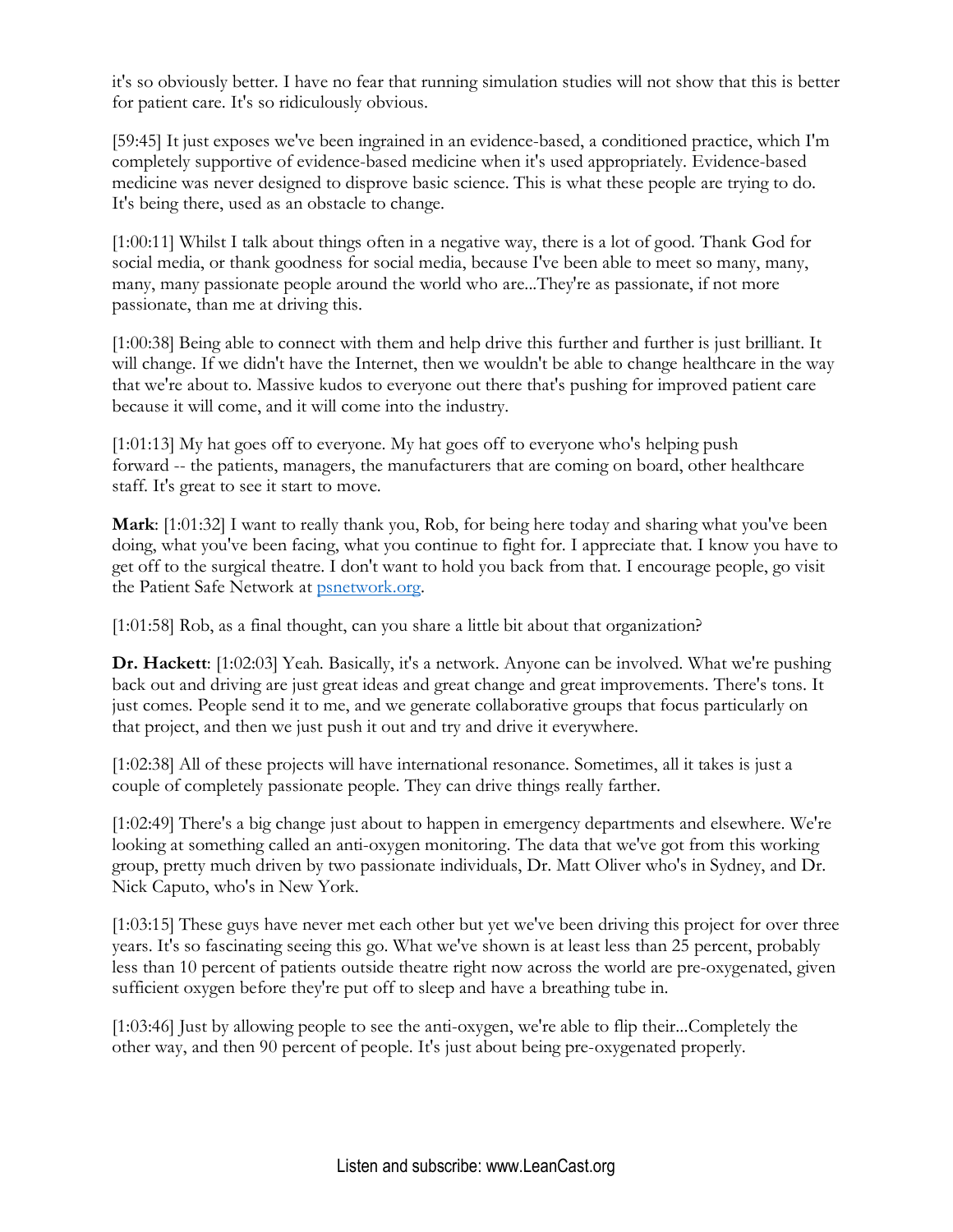it's so obviously better. I have no fear that running simulation studies will not show that this is better for patient care. It's so ridiculously obvious.

[59:45] It just exposes we've been ingrained in an evidence-based, a conditioned practice, which I'm completely supportive of evidence-based medicine when it's used appropriately. Evidence-based medicine was never designed to disprove basic science. This is what these people are trying to do. It's being there, used as an obstacle to change.

[1:00:11] Whilst I talk about things often in a negative way, there is a lot of good. Thank God for social media, or thank goodness for social media, because I've been able to meet so many, many, many, many passionate people around the world who are...They're as passionate, if not more passionate, than me at driving this.

[1:00:38] Being able to connect with them and help drive this further and further is just brilliant. It will change. If we didn't have the Internet, then we wouldn't be able to change healthcare in the way that we're about to. Massive kudos to everyone out there that's pushing for improved patient care because it will come, and it will come into the industry.

[1:01:13] My hat goes off to everyone. My hat goes off to everyone who's helping push forward -- the patients, managers, the manufacturers that are coming on board, other healthcare staff. It's great to see it start to move.

**Mark**: [1:01:32] I want to really thank you, Rob, for being here today and sharing what you've been doing, what you've been facing, what you continue to fight for. I appreciate that. I know you have to get off to the surgical theatre. I don't want to hold you back from that. I encourage people, go visit the Patient Safe Network at [psnetwork.org.](http://www.psnetwork.org/)

[1:01:58] Rob, as a final thought, can you share a little bit about that organization?

**Dr. Hackett**: [1:02:03] Yeah. Basically, it's a network. Anyone can be involved. What we're pushing back out and driving are just great ideas and great change and great improvements. There's tons. It just comes. People send it to me, and we generate collaborative groups that focus particularly on that project, and then we just push it out and try and drive it everywhere.

[1:02:38] All of these projects will have international resonance. Sometimes, all it takes is just a couple of completely passionate people. They can drive things really farther.

[1:02:49] There's a big change just about to happen in emergency departments and elsewhere. We're looking at something called an anti-oxygen monitoring. The data that we've got from this working group, pretty much driven by two passionate individuals, Dr. Matt Oliver who's in Sydney, and Dr. Nick Caputo, who's in New York.

[1:03:15] These guys have never met each other but yet we've been driving this project for over three years. It's so fascinating seeing this go. What we've shown is at least less than 25 percent, probably less than 10 percent of patients outside theatre right now across the world are pre-oxygenated, given sufficient oxygen before they're put off to sleep and have a breathing tube in.

[1:03:46] Just by allowing people to see the anti-oxygen, we're able to flip their...Completely the other way, and then 90 percent of people. It's just about being pre-oxygenated properly.